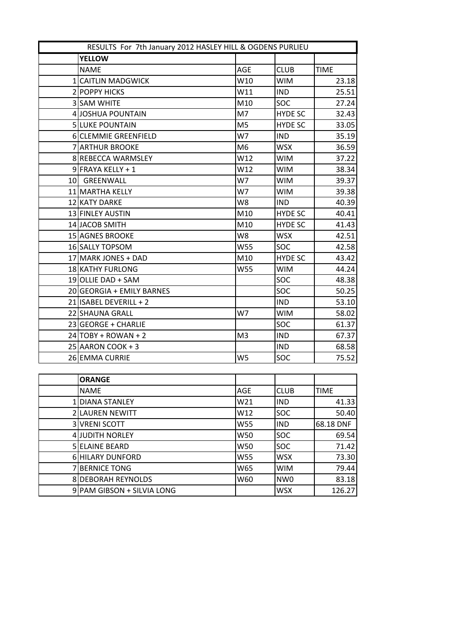| RESULTS For 7th January 2012 HASLEY HILL & OGDENS PURLIEU |                           |                 |                |             |
|-----------------------------------------------------------|---------------------------|-----------------|----------------|-------------|
|                                                           | <b>YELLOW</b>             |                 |                |             |
|                                                           | <b>NAME</b>               | AGE             | <b>CLUB</b>    | <b>TIME</b> |
|                                                           | 1 CAITLIN MADGWICK        | W10             | <b>WIM</b>     | 23.18       |
|                                                           | 2 POPPY HICKS             | W11             | <b>IND</b>     | 25.51       |
|                                                           | 3 SAM WHITE               | M10             | <b>SOC</b>     | 27.24       |
|                                                           | 4 JOSHUA POUNTAIN         | M7              | <b>HYDE SC</b> | 32.43       |
|                                                           | 5 LUKE POUNTAIN           | M <sub>5</sub>  | <b>HYDE SC</b> | 33.05       |
|                                                           | 6 CLEMMIE GREENFIELD      | W7              | <b>IND</b>     | 35.19       |
|                                                           | 7 ARTHUR BROOKE           | M <sub>6</sub>  | <b>WSX</b>     | 36.59       |
|                                                           | 8 REBECCA WARMSLEY        | W12             | <b>WIM</b>     | 37.22       |
|                                                           | $9$ FRAYA KELLY + 1       | W12             | <b>WIM</b>     | 38.34       |
|                                                           | 10 GREENWALL              | W7              | <b>WIM</b>     | 39.37       |
|                                                           | 11 MARTHA KELLY           | W7              | <b>WIM</b>     | 39.38       |
|                                                           | 12 KATY DARKE             | W8              | <b>IND</b>     | 40.39       |
|                                                           | 13 FINLEY AUSTIN          | M10             | <b>HYDE SC</b> | 40.41       |
|                                                           | 14 JACOB SMITH            | M10             | <b>HYDE SC</b> | 41.43       |
|                                                           | 15 AGNES BROOKE           | W8              | <b>WSX</b>     | 42.51       |
|                                                           | 16 SALLY TOPSOM           | W55             | <b>SOC</b>     | 42.58       |
|                                                           | 17 MARK JONES + DAD       | M10             | <b>HYDE SC</b> | 43.42       |
|                                                           | 18 KATHY FURLONG          | W55             | <b>WIM</b>     | 44.24       |
|                                                           | 19 OLLIE DAD + SAM        |                 | SOC            | 48.38       |
|                                                           | 20 GEORGIA + EMILY BARNES |                 | SOC            | 50.25       |
|                                                           | 21 ISABEL DEVERILL + 2    |                 | <b>IND</b>     | 53.10       |
|                                                           | 22 SHAUNA GRALL           | W7              | <b>WIM</b>     | 58.02       |
|                                                           | 23 GEORGE + CHARLIE       |                 | SOC            | 61.37       |
|                                                           | $24$ TOBY + ROWAN + 2     | M <sub>3</sub>  | <b>IND</b>     | 67.37       |
|                                                           | 25 AARON COOK + 3         |                 | <b>IND</b>     | 68.58       |
|                                                           | 26 EMMA CURRIE            | W5              | <b>SOC</b>     | 75.52       |
|                                                           |                           |                 |                |             |
|                                                           | <b>ORANGE</b>             |                 |                |             |
|                                                           | <b>NAME</b>               | AGE             | <b>CLUB</b>    | <b>TIME</b> |
|                                                           | 1 DIANA STANLEY           | W <sub>21</sub> | <b>IND</b>     | 41.33       |
|                                                           | 2 LAUREN NEWITT           | W12             | SOC            | 50.40       |
|                                                           | 3 VRENI SCOTT             | W55             | <b>IND</b>     | 68.18 DNF   |

4 JUDITH NORLEY W50 SOC 69.54 5 ELAINE BEARD W50 SOC 30C 71.42 6 HILARY DUNFORD W55 WSX 73.30 7 BERNICE TONG W65 WIM 79.44 8 DEBORAH REYNOLDS W60 NW0 83.18 9 PAM GIBSON + SILVIA LONG WSX 126.27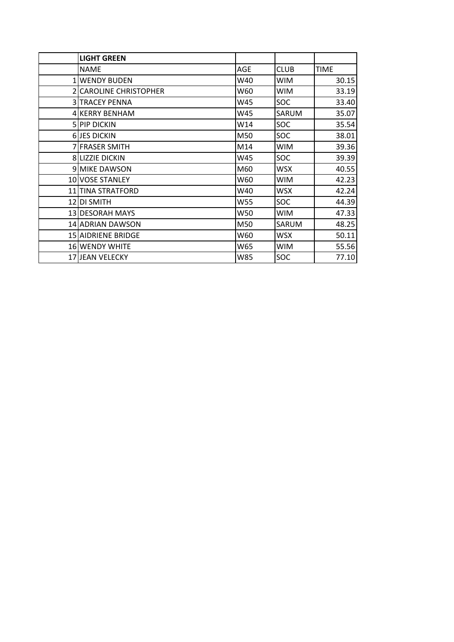| <b>LIGHT GREEN</b>        |     |             |             |
|---------------------------|-----|-------------|-------------|
| <b>NAME</b>               | AGE | <b>CLUB</b> | <b>TIME</b> |
| <b>1 WENDY BUDEN</b>      | W40 | <b>WIM</b>  | 30.15       |
| 2 CAROLINE CHRISTOPHER    | W60 | <b>WIM</b>  | 33.19       |
| <b>3 TRACEY PENNA</b>     | W45 | SOC         | 33.40       |
| 4 KERRY BENHAM            | W45 | SARUM       | 35.07       |
| 5 PIP DICKIN              | W14 | SOC         | 35.54       |
| <b>6JES DICKIN</b>        | M50 | SOC         | 38.01       |
| 7 FRASER SMITH            | M14 | <b>WIM</b>  | 39.36       |
| 8 LIZZIE DICKIN           | W45 | SOC         | 39.39       |
| <b>9 MIKE DAWSON</b>      | M60 | <b>WSX</b>  | 40.55       |
| 10 VOSE STANLEY           | W60 | <b>WIM</b>  | 42.23       |
| 11 TINA STRATFORD         | W40 | <b>WSX</b>  | 42.24       |
| 12 DI SMITH               | W55 | SOC         | 44.39       |
| 13 DESORAH MAYS           | W50 | <b>WIM</b>  | 47.33       |
| 14 ADRIAN DAWSON          | M50 | SARUM       | 48.25       |
| <b>15 AIDRIENE BRIDGE</b> | W60 | WSX         | 50.11       |
| 16 WENDY WHITE            | W65 | <b>WIM</b>  | 55.56       |
| 17 JEAN VELECKY           | W85 | SOC         | 77.10       |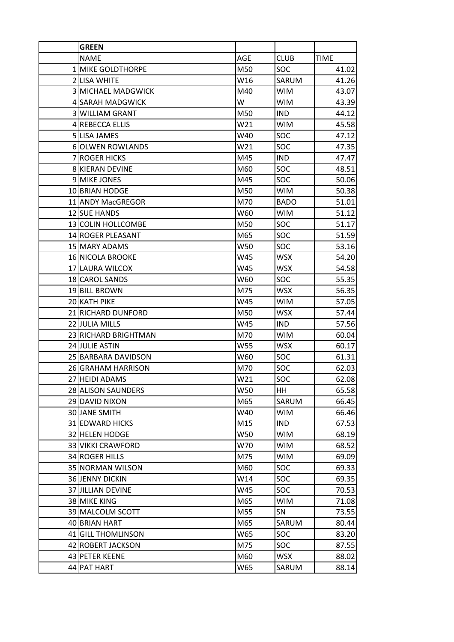| <b>GREEN</b>              |     |             |             |
|---------------------------|-----|-------------|-------------|
| <b>NAME</b>               | AGE | <b>CLUB</b> | <b>TIME</b> |
| 1 MIKE GOLDTHORPE         | M50 | <b>SOC</b>  | 41.02       |
| 2 LISA WHITE              | W16 | SARUM       | 41.26       |
| <b>3 MICHAEL MADGWICK</b> | M40 | <b>WIM</b>  | 43.07       |
| 4 SARAH MADGWICK          | W   | <b>WIM</b>  | 43.39       |
| <b>3 WILLIAM GRANT</b>    | M50 | <b>IND</b>  | 44.12       |
| <b>4 REBECCA ELLIS</b>    | W21 | <b>WIM</b>  | 45.58       |
| 5 LISA JAMES              | W40 | SOC         | 47.12       |
| <b>6 OLWEN ROWLANDS</b>   | W21 | <b>SOC</b>  | 47.35       |
| <b>7 ROGER HICKS</b>      | M45 | <b>IND</b>  | 47.47       |
| <b>8 KIERAN DEVINE</b>    | M60 | SOC         | 48.51       |
| <b>9 MIKE JONES</b>       | M45 | SOC         | 50.06       |
| 10 BRIAN HODGE            | M50 | <b>WIM</b>  | 50.38       |
| 11 ANDY MacGREGOR         | M70 | <b>BADO</b> | 51.01       |
| 12 SUE HANDS              | W60 | <b>WIM</b>  | 51.12       |
| 13 COLIN HOLLCOMBE        | M50 | <b>SOC</b>  | 51.17       |
| 14 ROGER PLEASANT         | M65 | SOC         | 51.59       |
| <b>15 MARY ADAMS</b>      | W50 | SOC         | 53.16       |
| 16 NICOLA BROOKE          | W45 | <b>WSX</b>  | 54.20       |
| 17 LAURA WILCOX           | W45 | <b>WSX</b>  | 54.58       |
| 18 CAROL SANDS            | W60 | SOC.        | 55.35       |
| 19 BILL BROWN             | M75 | <b>WSX</b>  | 56.35       |
| 20 KATH PIKE              | W45 | <b>WIM</b>  | 57.05       |
| 21 RICHARD DUNFORD        | M50 | <b>WSX</b>  | 57.44       |
| 22 JULIA MILLS            | W45 | <b>IND</b>  | 57.56       |
| 23 RICHARD BRIGHTMAN      | M70 | <b>WIM</b>  | 60.04       |
| 24 JULIE ASTIN            | W55 | <b>WSX</b>  | 60.17       |
| 25 BARBARA DAVIDSON       | W60 | <b>SOC</b>  | 61.31       |
| 26 GRAHAM HARRISON        | M70 | SOC         | 62.03       |
| 27 HEIDI ADAMS            | W21 | SOC         | 62.08       |
| 28 ALISON SAUNDERS        | W50 | HH          | 65.58       |
| 29 DAVID NIXON            | M65 | SARUM       | 66.45       |
| 30 JANE SMITH             | W40 | <b>WIM</b>  | 66.46       |
| 31 EDWARD HICKS           | M15 | <b>IND</b>  | 67.53       |
| 32 HELEN HODGE            | W50 | <b>WIM</b>  | 68.19       |
| 33 VIKKI CRAWFORD         | W70 | <b>WIM</b>  | 68.52       |
| 34 ROGER HILLS            | M75 | <b>WIM</b>  | 69.09       |
| 35 NORMAN WILSON          | M60 | <b>SOC</b>  | 69.33       |
| <b>36 JENNY DICKIN</b>    | W14 | SOC         | 69.35       |
| <b>37 JILLIAN DEVINE</b>  | W45 | SOC         | 70.53       |
| 38 MIKE KING              | M65 | <b>WIM</b>  | 71.08       |
| 39 MALCOLM SCOTT          | M55 | SN          | 73.55       |
| 40 BRIAN HART             | M65 | SARUM       | 80.44       |
| 41 GILL THOMLINSON        | W65 | SOC         | 83.20       |
| 42 ROBERT JACKSON         | M75 | SOC         | 87.55       |
| 43 PETER KEENE            | M60 | <b>WSX</b>  | 88.02       |
| 44 PAT HART               | W65 | SARUM       | 88.14       |